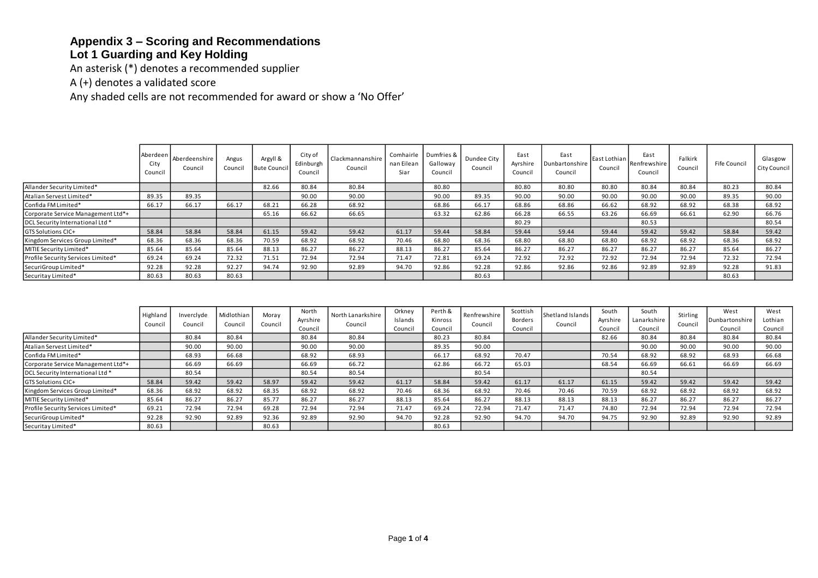## **Appendix 3 – Scoring and Recommendations**

## **Lot 1 Guarding and Key Holding**

An asterisk (\*) denotes a recommended supplier

A (+) denotes a validated score

Any shaded cells are not recommended for award or show a 'No Offer'

|                                    | Aberdeen<br>City<br>Council | Aberdeenshire<br>Council | Angus<br>Council | Argyll &<br><b>Bute Council</b> | City of<br>Edinburgh<br>Council | Clackmannanshire<br>Council | nan Eilean<br>Siar | Comhairle Dumfries &<br>Galloway<br>Council | Dundee City<br>Council | East<br>Ayrshire<br>Council | East<br>Dunbartonshire<br>Council | East Lothian<br>Council | East<br>Renfrewshire<br>Council | Falkirk<br>Council | Fife Council | Glasgow<br>City Council |
|------------------------------------|-----------------------------|--------------------------|------------------|---------------------------------|---------------------------------|-----------------------------|--------------------|---------------------------------------------|------------------------|-----------------------------|-----------------------------------|-------------------------|---------------------------------|--------------------|--------------|-------------------------|
| Allander Security Limited*         |                             |                          |                  | 82.66                           | 80.84                           | 80.84                       |                    | 80.80                                       |                        | 80.80                       | 80.80                             | 80.80                   | 80.84                           | 80.84              | 80.23        | 80.84                   |
| Atalian Servest Limited*           | 89.35                       | 89.35                    |                  |                                 | 90.00                           | 90.00                       |                    | 90.00                                       | 89.35                  | 90.00                       | 90.00                             | 90.00                   | 90.00                           | 90.00              | 89.35        | 90.00                   |
| Confida FM Limited*                | 66.17                       | 66.17                    | 66.17            | 68.21                           | 66.28                           | 68.92                       |                    | 68.86                                       | 66.17                  | 68.86                       | 68.86                             | 66.62                   | 68.92                           | 68.92              | 68.38        | 68.92                   |
| Corporate Service Management Ltd*+ |                             |                          |                  | 65.16                           | 66.62                           | 66.65                       |                    | 63.32                                       | 62.86                  | 66.28                       | 66.55                             | 63.26                   | 66.69                           | 66.61              | 62.90        | 66.76                   |
| DCL Security International Ltd *   |                             |                          |                  |                                 |                                 |                             |                    |                                             |                        | 80.29                       |                                   |                         | 80.53                           |                    |              | 80.54                   |
| GTS Solutions CIC+                 | 58.84                       | 58.84                    | 58.84            | 61.15                           | 59.42                           | 59.42                       | 61.17              | 59.44                                       | 58.84                  | 59.44                       | 59.44                             | 59.44                   | 59.42                           | 59.42              | 58.84        | 59.42                   |
| Kingdom Services Group Limited*    | 68.36                       | 68.36                    | 68.36            | 70.59                           | 68.92                           | 68.92                       | 70.46              | 68.80                                       | 68.36                  | 68.80                       | 68.80                             | 68.80                   | 68.92                           | 68.92              | 68.36        | 68.92                   |
| MITIE Security Limited*            | 85.64                       | 85.64                    | 85.64            | 88.13                           | 86.27                           | 86.27                       | 88.13              | 86.27                                       | 85.64                  | 86.27                       | 86.27                             | 86.27                   | 86.27                           | 86.27              | 85.64        | 86.27                   |
| Profile Security Services Limited* | 69.24                       | 69.24                    | 72.32            | 71.51                           | 72.94                           | 72.94                       | 71.47              | 72.81                                       | 69.24                  | 72.92                       | 72.92                             | 72.92                   | 72.94                           | 72.94              | 72.32        | 72.94                   |
| SecuriGroup Limited*               | 92.28                       | 92.28                    | 92.27            | 94.74                           | 92.90                           | 92.89                       | 94.70              | 92.86                                       | 92.28                  | 92.86                       | 92.86                             | 92.86                   | 92.89                           | 92.89              | 92.28        | 91.83                   |
| Securitay Limited*                 | 80.63                       | 80.63                    | 80.63            |                                 |                                 |                             |                    |                                             | 80.63                  |                             |                                   |                         |                                 |                    | 80.63        |                         |

|                                    | Highland<br>Council | Inverclyde<br>Council | Midlothian<br>Council | Moray<br>Council | North<br>Ayrshire<br>Council | North Lanarkshire<br>Council | Orkney<br>Islands<br>Council | Perth &<br>Kinross<br>Council | Renfrewshire<br>Council | Scottish<br>Borders<br>Council | Shetland Islands<br>Council | South<br>Ayrshire<br>Council | South<br>Lanarkshire<br>Council | Stirling<br>Council | West<br>Dunbartonshire<br>Council | West<br>Lothian<br>Council |
|------------------------------------|---------------------|-----------------------|-----------------------|------------------|------------------------------|------------------------------|------------------------------|-------------------------------|-------------------------|--------------------------------|-----------------------------|------------------------------|---------------------------------|---------------------|-----------------------------------|----------------------------|
| Allander Security Limited*         |                     | 80.84                 | 80.84                 |                  | 80.84                        | 80.84                        |                              | 80.23                         | 80.84                   |                                |                             | 82.66                        | 80.84                           | 80.84               | 80.84                             | 80.84                      |
| Atalian Servest Limited*           |                     | 90.00                 | 90.00                 |                  | 90.00                        | 90.00                        |                              | 89.35                         | 90.00                   |                                |                             |                              | 90.00                           | 90.00               | 90.00                             | 90.00                      |
| Confida FM Limited*                |                     | 68.93                 | 66.68                 |                  | 68.92                        | 68.93                        |                              | 66.17                         | 68.92                   | 70.47                          |                             | 70.54                        | 68.92                           | 68.92               | 68.93                             | 66.68                      |
| Corporate Service Management Ltd*+ |                     | 66.69                 | 66.69                 |                  | 66.69                        | 66.72                        |                              | 62.86                         | 66.72                   | 65.03                          |                             | 68.54                        | 66.69                           | 66.61               | 66.69                             | 66.69                      |
| DCL Security International Ltd *   |                     | 80.54                 |                       |                  | 80.54                        | 80.54                        |                              |                               | 80.54                   |                                |                             |                              | 80.54                           |                     |                                   |                            |
| GTS Solutions CIC+                 | 58.84               | 59.42                 | 59.42                 | 58.97            | 59.42                        | 59.42                        | 61.17                        | 58.84                         | 59.42                   | 61.17                          | 61.17                       | 61.15                        | 59.42                           | 59.42               | 59.42                             | 59.42                      |
| Kingdom Services Group Limited*    | 68.36               | 68.92                 | 68.92                 | 68.35            | 68.92                        | 68.92                        | 70.46                        | 68.36                         | 68.92                   | 70.46                          | 70.46                       | 70.59                        | 68.92                           | 68.92               | 68.92                             | 68.92                      |
| MITIE Security Limited*            | 85.64               | 86.27                 | 86.27                 | 85.77            | 86.27                        | 86.27                        | 88.13                        | 85.64                         | 86.27                   | 88.13                          | 88.13                       | 88.13                        | 86.27                           | 86.27               | 86.27                             | 86.27                      |
| Profile Security Services Limited* | 69.21               | 72.94                 | 72.94                 | 69.28            | 72.94                        | 72.94                        | 71.47                        | 69.24                         | 72.94                   | 71.47                          | 71.47                       | 74.80                        | 72.94                           | 72.94               | 72.94                             | 72.94                      |
| SecuriGroup Limited*               | 92.28               | 92.90                 | 92.89                 | 92.36            | 92.89                        | 92.90                        | 94.70                        | 92.28                         | 92.90                   | 94.70                          | 94.70                       | 94.75                        | 92.90                           | 92.89               | 92.90                             | 92.89                      |
| Securitay Limited*                 | 80.63               |                       |                       | 80.63            |                              |                              |                              | 80.63                         |                         |                                |                             |                              |                                 |                     |                                   |                            |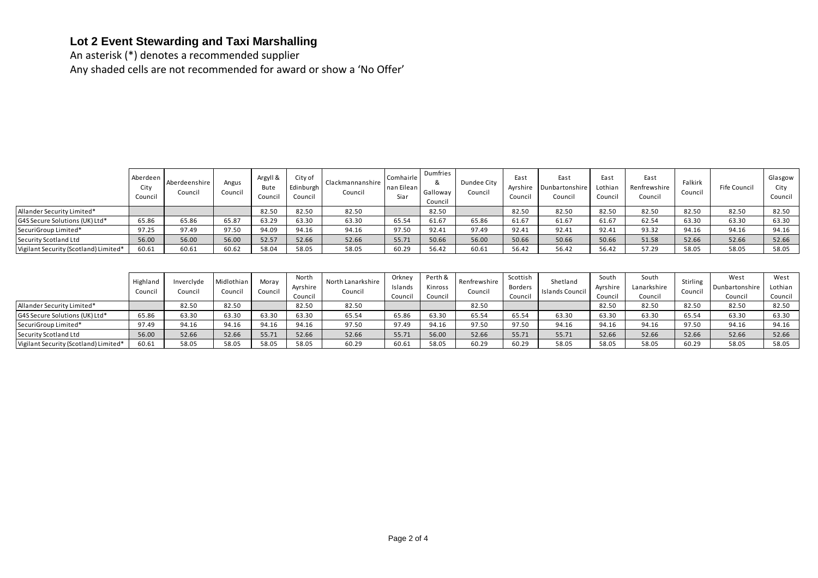## **Lot 2 Event Stewarding and Taxi Marshalling**

An asterisk (\*) denotes a recommended supplier Any shaded cells are not recommended for award or show a 'No Offer'

|                                       | Aberdeen<br>City<br>Council | Aberdeenshire<br>Council | Angus<br>Council | Argyll &<br>Bute<br>Council | City of<br>Edinburgh<br>Council | Clackmannanshire<br>Council | Comhairle<br>nan Eilean<br>Siar | Dumfries<br>&<br>Galloway<br>Council | Dundee City<br>Council | East<br>Ayrshire<br>Council | East<br><b>Dunbartonshire</b><br>Council | East<br>Lothian<br>Council | East<br>Renfrewshire<br>Council | Falkirk<br>Council | Fife Council | Glasgow<br>City<br>Council |
|---------------------------------------|-----------------------------|--------------------------|------------------|-----------------------------|---------------------------------|-----------------------------|---------------------------------|--------------------------------------|------------------------|-----------------------------|------------------------------------------|----------------------------|---------------------------------|--------------------|--------------|----------------------------|
| Allander Security Limited*            |                             |                          |                  | 82.50                       | 82.50                           | 82.50                       |                                 | 82.50                                |                        | 82.50                       | 82.50                                    | 82.50                      | 82.50                           | 82.50              | 82.50        | 82.50                      |
| G4S Secure Solutions (UK) Ltd*        | 65.86                       | 65.86                    | 65.87            | 63.29                       | 63.30                           | 63.30                       | 65.54                           | 61.67                                | 65.86                  | 61.67                       | 61.67                                    | 61.67                      | 62.54                           | 63.30              | 63.30        | 63.30                      |
| SecuriGroup Limited*                  | 97.25                       | 97.49                    | 97.50            | 94.09                       | 94.16                           | 94.16                       | 97.50                           | 92.41                                | 97.49                  | 92.41                       | 92.41                                    | 92.41                      | 93.32                           | 94.16              | 94.16        | 94.16                      |
| Security Scotland Ltd                 | 56.00                       | 56.00                    | 56.00            | 52.57                       | 52.66                           | 52.66                       | 55.71                           | 50.66                                | 56.00                  | 50.66                       | 50.66                                    | 50.66                      | 51.58                           | 52.66              | 52.66        | 52.66                      |
| Vigilant Security (Scotland) Limited* | 60.61                       | 60.61                    | 60.62            | 58.04                       | 58.05                           | 58.05                       | 60.29                           | 56.42                                | 60.61                  | 56.42                       | 56.42                                    | 56.42                      | 57.29                           | 58.05              | 58.05        | 58.05                      |

|                                       | Highland<br>Council | Inverclyde<br>Council | Midlothian<br>Council | Moray<br>Council | North<br>Ayrshire<br>Council | North Lanarkshire<br>Council | Orkney<br>Islands<br>Council | Perth & I<br>Kinross<br>Council | Renfrewshire<br>Council | Scottish<br>Borders<br>Council | Shetland<br>Islands Council | South<br>Ayrshire<br>Council | South<br>Lanarkshire<br>Council | <b>Stirling</b><br>Council | West<br>Dunbartonshire<br>Council | West<br>Lothian<br>Council |
|---------------------------------------|---------------------|-----------------------|-----------------------|------------------|------------------------------|------------------------------|------------------------------|---------------------------------|-------------------------|--------------------------------|-----------------------------|------------------------------|---------------------------------|----------------------------|-----------------------------------|----------------------------|
| Allander Security Limited*            |                     | 82.50                 | 82.50                 |                  | 82.50                        | 82.50                        |                              |                                 | 82.50                   |                                |                             | 82.50                        | 82.50                           | 82.50                      | 82.50                             | 82.50                      |
| G4S Secure Solutions (UK) Ltd*        | 65.86               | 63.30                 | 63.30                 | 63.30            | 63.30                        | 65.54                        | 65.86                        | 63.30                           | 65.54                   | 65.54                          | 63.30                       | 63.30                        | 63.30                           | 65.54                      | 63.30                             | 63.30                      |
| SecuriGroup Limited*                  | 97.49               | 94.16                 | 94.16                 | 94.16            | 94.16                        | 97.50                        | 97.49                        | 94.16                           | 97.50                   | 97.50                          | 94.16                       | 94.16                        | 94.16                           | 97.50                      | 94.16                             | 94.16                      |
| Security Scotland Ltd                 | 56.00               | 52.66                 | 52.66                 | 55.71            | 52.66                        | 52.66                        | 55.71                        | 56.00                           | 52.66                   | 55.71                          | 55.71                       | 52.66                        | 52.66                           | 52.66                      | 52.66                             | 52.66                      |
| Vigilant Security (Scotland) Limited* | 60.61               | 58.05                 | 58.05                 | 58.05            | 58.05                        | 60.29                        | 60.61                        | 58.05                           | 60.29                   | 60.29                          | 58.05                       | 58.05                        | 58.05                           | 60.29                      | 58.05                             | 58.05                      |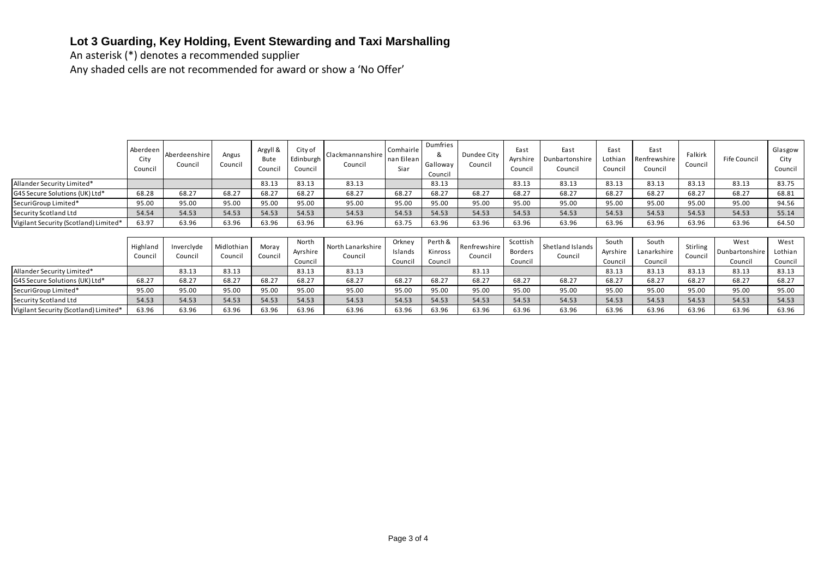# **Lot 3 Guarding, Key Holding, Event Stewarding and Taxi Marshalling**

An asterisk (\*) denotes a recommended supplier

Any shaded cells are not recommended for award or show a 'No Offer'

|                                       | Aberdeen<br>City<br>Council | Aberdeenshire<br>Council | Angus<br>Council      | Argyll &<br><b>Bute</b><br>Council | City of<br>Edinburgh<br>Council | Clackmannanshire<br>Council  | Comhairle<br>nan Eilean<br>Siar | Dumfries<br>&<br>Galloway<br>Council | Dundee City<br>Council  | East<br>Ayrshire<br>Council | East<br>Dunbartonshire<br>Council | East<br>Lothian<br>Counci | East<br>Renfrewshire<br>Council | Falkirk<br>Council  | Fife Council           | Glasgow<br>City<br>Council |
|---------------------------------------|-----------------------------|--------------------------|-----------------------|------------------------------------|---------------------------------|------------------------------|---------------------------------|--------------------------------------|-------------------------|-----------------------------|-----------------------------------|---------------------------|---------------------------------|---------------------|------------------------|----------------------------|
| Allander Security Limited*            |                             |                          |                       | 83.13                              | 83.13                           | 83.13                        |                                 | 83.13                                |                         | 83.13                       | 83.13                             | 83.13                     | 83.13                           | 83.13               | 83.13                  | 83.75                      |
| G4S Secure Solutions (UK) Ltd*        | 68.28                       | 68.27                    | 68.27                 | 68.27                              | 68.27                           | 68.27                        | 68.27                           | 68.27                                | 68.27                   | 68.27                       | 68.27                             | 68.27                     | 68.27                           | 68.27               | 68.27                  | 68.81                      |
| SecuriGroup Limited*                  | 95.00                       | 95.00                    | 95.00                 | 95.00                              | 95.00                           | 95.00                        | 95.00                           | 95.00                                | 95.00                   | 95.00                       | 95.00                             | 95.00                     | 95.00                           | 95.00               | 95.00                  | 94.56                      |
| Security Scotland Ltd                 | 54.54                       | 54.53                    | 54.53                 | 54.53                              | 54.53                           | 54.53                        | 54.53                           | 54.53                                | 54.53                   | 54.53                       | 54.53                             | 54.53                     | 54.53                           | 54.53               | 54.53                  | 55.14                      |
| Vigilant Security (Scotland) Limited* | 63.97                       | 63.96                    | 63.96                 | 63.96                              | 63.96                           | 63.96                        | 63.75                           | 63.96                                | 63.96                   | 63.96                       | 63.96                             | 63.96                     | 63.96                           | 63.96               | 63.96                  | 64.50                      |
|                                       |                             |                          |                       |                                    |                                 |                              |                                 |                                      |                         |                             |                                   |                           |                                 |                     |                        |                            |
|                                       | Highland<br>Council         | Inverclyde<br>Council    | Midlothian<br>Council | Moray<br>Council                   | North<br>Ayrshire               | North Lanarkshire<br>Council | Orkney<br>Islands               | Perth &<br>Kinross                   | Renfrewshire<br>Council | Scottish<br>Borders         | Shetland Islands<br>Council       | South<br>Ayrshire         | South<br>Lanarkshire            | Stirling<br>Council | West<br>Dunbartonshire | West<br>Lothian            |
|                                       |                             |                          |                       |                                    | Council                         |                              | Council                         | Council                              |                         | Council                     |                                   | Counci                    | Council                         |                     | Council                | Council                    |
| Allander Security Limited*            |                             | 83.13                    | 83.13                 |                                    | 83.13                           | 83.13                        |                                 |                                      | 83.13                   |                             |                                   | 83.13                     | 83.13                           | 83.13               | 83.13                  | 83.13                      |
| G4S Secure Solutions (UK) Ltd*        | 68.27                       | 68.27                    | 68.27                 | 68.27                              | 68.27                           | 68.27                        | 68.27                           | 68.27                                | 68.27                   | 68.27                       | 68.27                             | 68.27                     | 68.27                           | 68.27               | 68.27                  | 68.27                      |
| SecuriGroup Limited*                  | 95.00                       | 95.00                    | 95.00                 | 95.00                              | 95.00                           | 95.00                        | 95.00                           | 95.00                                | 95.00                   | 95.00                       | 95.00                             | 95.00                     | 95.00                           | 95.00               | 95.00                  | 95.00                      |
| Security Scotland Ltd                 | 54.53                       | 54.53                    | 54.53                 | 54.53                              | 54.53                           | 54.53                        | 54.53                           | 54.53                                | 54.53                   | 54.53                       | 54.53                             | 54.53                     | 54.53                           | 54.53               | 54.53                  | 54.53                      |
| Vigilant Security (Scotland) Limited* | 63.96                       | 63.96                    | 63.96                 | 63.96                              | 63.96                           | 63.96                        | 63.96                           | 63.96                                | 63.96                   | 63.96                       | 63.96                             | 63.96                     | 63.96                           | 63.96               | 63.96                  | 63.96                      |